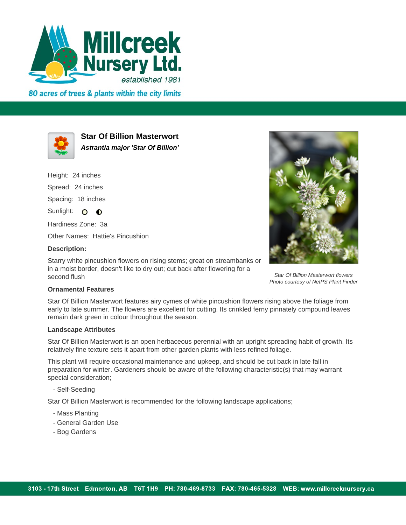

80 acres of trees & plants within the city limits



**Star Of Billion Masterwort Astrantia major 'Star Of Billion'**

Height: 24 inches

Spread: 24 inches

Spacing: 18 inches

Sunlight: O  $\bullet$ 

Hardiness Zone: 3a

Other Names: Hattie's Pincushion

## **Description:**

Starry white pincushion flowers on rising stems; great on streambanks or in a moist border, doesn't like to dry out; cut back after flowering for a second flush



Star Of Billion Masterwort flowers Photo courtesy of NetPS Plant Finder

## **Ornamental Features**

Star Of Billion Masterwort features airy cymes of white pincushion flowers rising above the foliage from early to late summer. The flowers are excellent for cutting. Its crinkled ferny pinnately compound leaves remain dark green in colour throughout the season.

## **Landscape Attributes**

Star Of Billion Masterwort is an open herbaceous perennial with an upright spreading habit of growth. Its relatively fine texture sets it apart from other garden plants with less refined foliage.

This plant will require occasional maintenance and upkeep, and should be cut back in late fall in preparation for winter. Gardeners should be aware of the following characteristic(s) that may warrant special consideration;

- Self-Seeding

Star Of Billion Masterwort is recommended for the following landscape applications;

- Mass Planting
- General Garden Use
- Bog Gardens